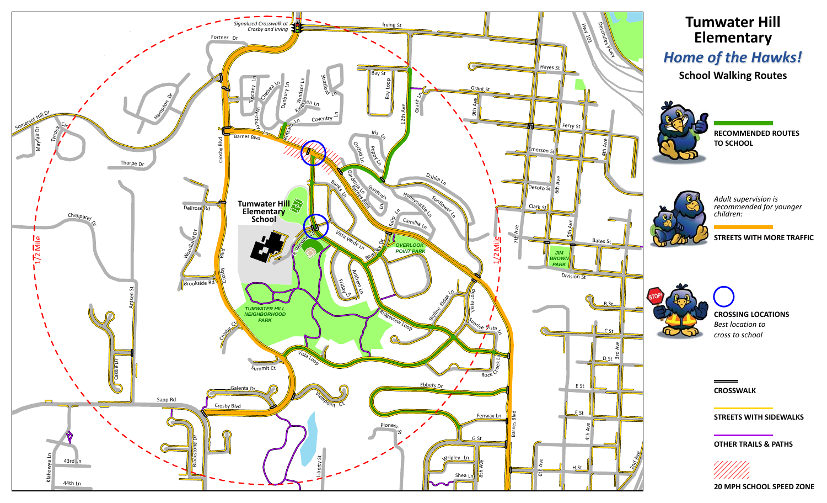